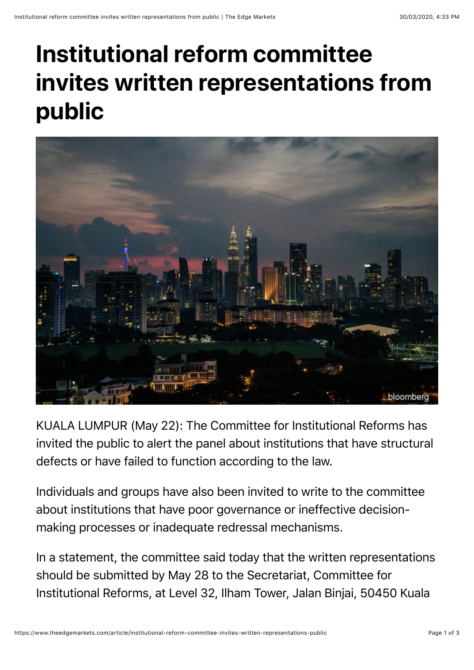## **Institutional reform committee invites written representations from public**



KUALA LUMPUR (May 22): The Committee for Institutional Reforms has invited the public to alert the panel about institutions that have structural defects or have failed to function according to the law.

Individuals and groups have also been invited to write to the committee about institutions that have poor governance or ineffective decisionmaking processes or inadequate redressal mechanisms.

In a statement, the committee said today that the written representations should be submitted by May 28 to the Secretariat, Committee for Institutional Reforms, at Level 32, Ilham Tower, Jalan Binjai, 50450 Kuala